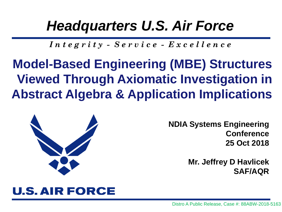### *Headquarters U.S. Air Force*

*I n t e g r i t y - S e r v i c e - E x c e l l e n c e*

**Model-Based Engineering (MBE) Structures Viewed Through Axiomatic Investigation in Abstract Algebra & Application Implications**



**NDIA Systems Engineering Conference 25 Oct 2018**

> **Mr. Jeffrey D Havlicek SAF/AQR**

### **U.S. AIR FORCE**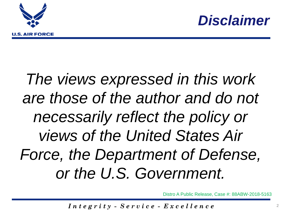



# *The views expressed in this work are those of the author and do not necessarily reflect the policy or views of the United States Air Force, the Department of Defense, or the U.S. Government.*

Distro A Public Release, Case #: 88ABW-2018-5163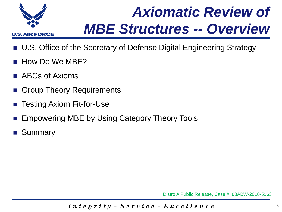

# *Axiomatic Review of MBE Structures -- Overview*

- U.S. Office of the Secretary of Defense Digital Engineering Strategy
- How Do We MBE?
- ABCs of Axioms
- Group Theory Requirements
- Testing Axiom Fit-for-Use
- Empowering MBE by Using Category Theory Tools
- **Summary**

Distro A Public Release, Case #: 88ABW-2018-5163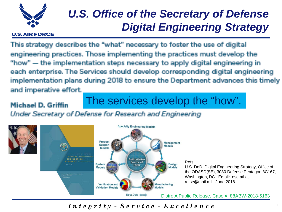

### *U.S. Office of the Secretary of Defense Digital Engineering Strategy*

#### **U.S. AIR FORCE**

This strategy describes the "what" necessary to foster the use of digital engineering practices. Those implementing the practices must develop the "how" — the implementation steps necessary to apply digital engineering in each enterprise. The Services should develop corresponding digital engineering implementation plans during 2018 to ensure the Department advances this timely and imperative effort.

#### Michael D. Griffin

The services develop the "how".

Under Secretary of Defense for Research and Engineering

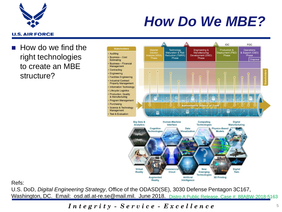

## *How Do We MBE?*

#### **U.S. AIR FORCE**

 How do we find the right technologies to create an MBE structure?



Refs:

U.S. DoD, *Digital Engineering Strategy*, Office of the ODASD(SE), 3030 Defense Pentagon 3C167, Washington, DC. Email: osd.atl.at-re.se@mail.mil. June 2018. Distro A Public Release, Case #: 88ABW-2018-5163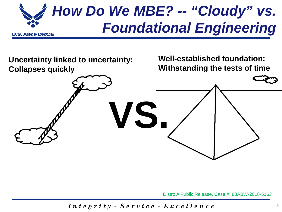

**Uncertainty linked to uncertainty: Collapses quickly**

**Well-established foundation: Withstanding the tests of time**

Distro A Public Release, Case #: 88ABW-2018-5163

*I n t e g r i t y - S e r v i c e - E x c e l l e n c e*

**VS.**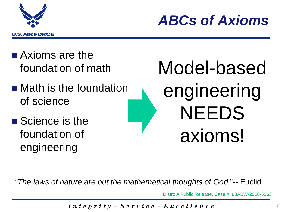



- **Axioms are the** foundation of math
- **Nath is the foundation** of science
- Science is the foundation of engineering

Model-based engineering NEEDS axioms!

*"The laws of nature are but the mathematical thoughts of God*."-- Euclid

Distro A Public Release, Case #: 88ABW-2018-5163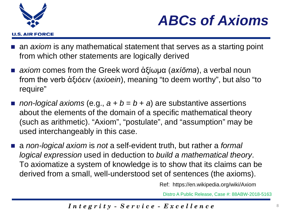



- an *axiom* is any mathematical statement that serves as a starting point from which other statements are logically derived
- *axiom* comes from the Greek word ἀξίωμα (*axíōma*), a verbal noun from the verb ἀξιόειν (*axioein*), meaning "to deem worthy", but also "to require"
- **non-logical axioms (e.g.,**  $a + b = b + a$ **) are substantive assertions** about the elements of the domain of a specific mathematical theory (such as arithmetic). "Axiom", "postulate", and "assumption" may be used interchangeably in this case.
- a *non-logical axiom* is *not* a self-evident truth, but rather a *formal logical expression* used in deduction to *build a mathematical theory*. To axiomatize a system of knowledge is to show that its claims can be derived from a small, well-understood set of sentences (the axioms).

Ref: https://en.wikipedia.org/wiki/Axiom

Distro A Public Release, Case #: 88ABW-2018-5163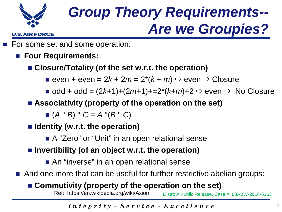

**U.S. AIR FORCE** 

## *Group Theory Requirements-- Are we Groupies?*

- For some set and some operation:
	- **Four Requirements:**
		- **Closure/Totality (of the set w.r.t. the operation)**
			- **e** even + even =  $2k + 2m = 2^*(k + m) \Rightarrow$  even  $\Rightarrow$  Closure
			- $\blacksquare$  odd + odd =  $(2k+1)+(2m+1)+2 \cdot (k+m)+2 \Rightarrow$  even  $\Rightarrow$  No Closure
		- **Associativity (property of the operation on the set)**
			- $(A \circ B) \circ C = A \circ (B \circ C)$
		- **Identity (w.r.t. the operation)**
			- A "Zero" or "Unit" in an open relational sense
		- **Invertibility (of an object w.r.t. the operation)**
			- An "inverse" in an open relational sense
	- And one more that can be useful for further restrictive abelian groups:

### **Commutivity (property of the operation on the set)**

Ref: https://en.wikipedia.org/wiki/Axiom Distro A Public Release, Case #: 88ABW-2018-5163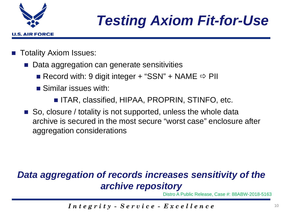

## *Testing Axiom Fit-for-Use*

- Totality Axiom Issues:
	- Data aggregation can generate sensitivities
		- Record with: 9 digit integer + "SSN" + NAME  $\Rightarrow$  PII
		- **Similar issues with:** 
			- ITAR, classified, HIPAA, PROPRIN, STINFO, etc.
	- So, closure / totality is not supported, unless the whole data archive is secured in the most secure "worst case" enclosure after aggregation considerations

### *Data aggregation of records increases sensitivity of the archive repository*

Distro A Public Release, Case #: 88ABW-2018-5163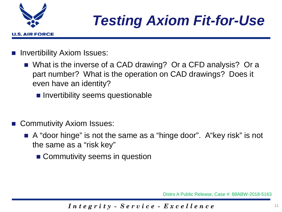

## *Testing Axiom Fit-for-Use*

- Invertibility Axiom Issues:
	- What is the inverse of a CAD drawing? Or a CFD analysis? Or a part number? What is the operation on CAD drawings? Does it even have an identity?
		- Invertibility seems questionable
- Commutivity Axiom Issues:
	- A "door hinge" is not the same as a "hinge door". A "key risk" is not the same as a "risk key"
		- Commutivity seems in question

Distro A Public Release, Case #: 88ABW-2018-5163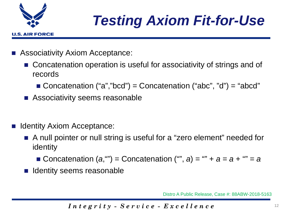

# *Testing Axiom Fit-for-Use*

- Associativity Axiom Acceptance:
	- Concatenation operation is useful for associativity of strings and of records
		- Concatenation  $("a", "bcd") = Concatenation ("abc", "d") = "abcd"$
	- **Associativity seems reasonable**
- Identity Axiom Acceptance:
	- A null pointer or null string is useful for a "zero element" needed for identity
		- Concatenation  $(a,$  *""*) = Concatenation (*"", a*) = *"" + a = a + "" = a*
	- Identity seems reasonable

Distro A Public Release, Case #: 88ABW-2018-5163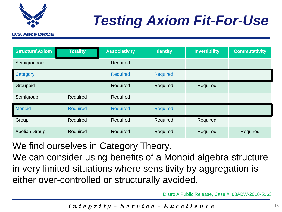

# *Testing Axiom Fit-For-Use*

#### **U.S. AIR FORCE**

| <b>Structure\Axiom</b> | <b>Totality</b> | <b>Associativity</b> | <b>Identity</b> | <b>Invertibility</b> | <b>Commutativity</b> |
|------------------------|-----------------|----------------------|-----------------|----------------------|----------------------|
| Semigroupoid           |                 | Required             |                 |                      |                      |
| Category               |                 | <b>Required</b>      | <b>Required</b> |                      |                      |
| Groupoid               |                 | Required             | Required        | Required             |                      |
| Semigroup              | Required        | Required             |                 |                      |                      |
| <b>Monoid</b>          | <b>Required</b> | <b>Required</b>      | <b>Required</b> |                      |                      |
| Group                  | Required        | Required             | Required        | Required             |                      |
| <b>Abelian Group</b>   | Required        | Required             | Required        | Required             | Required             |

We find ourselves in Category Theory.

We can consider using benefits of a Monoid algebra structure in very limited situations where sensitivity by aggregation is either over-controlled or structurally avoided.

Distro A Public Release, Case #: 88ABW-2018-5163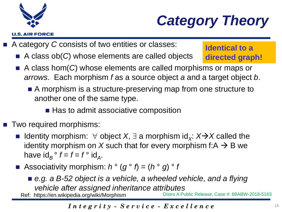



- A category *C* consists of two entities or classes:
	- A class ob(*C*) whose elements are called objects

**Identical to a directed graph!**

- A class hom(*C*) whose elements are called morphisms or maps or *arrows*. Each morphism *f* as a source object *a* and a target object *b*.
	- A morphism is a structure-preserving map from one structure to another one of the same type.
		- Has to admit associative composition
- Two required morphisms:
	- Identity morphism:  $\forall$  object *X*,  $\exists$  a morphism id<sub>*X</sub>*: *X* $\rightarrow$ *X* called the</sub> identity morphism on X such that for every morphism f: $A \rightarrow B$  we have  $\mathrm{id}_{B}^{\circ} f = f = f^{\circ} \mathrm{id}_{A}$ .
	- Associativity morphism:  $h^{\circ} (g^{\circ} f) = (h^{\circ} g)^{\circ} f$ 
		- e.g. a B-52 object is a vehicle, a wheeled vehicle, and a flying *vehicle after assigned inheritance attributes* Ref: https://en.wikipedia.org/wiki/Morphism Distro A Public Release, Case #: 88ABW-2018-5163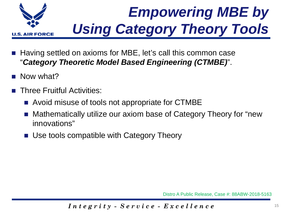

# *Empowering MBE by Using Category Theory Tools*

- Having settled on axioms for MBE, let's call this common case "*Category Theoretic Model Based Engineering (CTMBE)*".
- Now what?
- Three Fruitful Activities:
	- Avoid misuse of tools not appropriate for CTMBE
	- Mathematically utilize our axiom base of Category Theory for "new innovations"
	- Use tools compatible with Category Theory

Distro A Public Release, Case #: 88ABW-2018-5163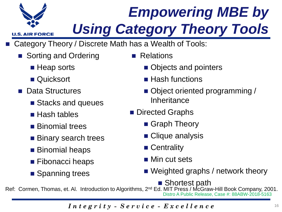

**U.S. AIR FORCE** 

# *Empowering MBE by Using Category Theory Tools*

- Category Theory / Discrete Math has a Wealth of Tools:
	- Sorting and Ordering
		- **Heap sorts**
		- Quicksort
	- **Data Structures** 
		- Stacks and queues
		- Hash tables
		- **Binomial trees**
		- Binary search trees
		- Binomial heaps
		- **Fibonacci heaps**
		- Spanning trees
- Relations
	- Objects and pointers
	- $\blacksquare$  Hash functions
	- Object oriented programming / **Inheritance**
- **Directed Graphs** 
	- Graph Theory
	- Clique analysis
	- Centrality
	- Min cut sets
	- Weighted graphs / network theory
		- Shortest path

Ref: Cormen, Thomas, et. Al. Introduction to Algorithms, 2<sup>nd</sup> Ed. MIT Press / McGraw-Hill Book Company, 2001. Distro A Public Release, Case #: 88ABW-2018-5163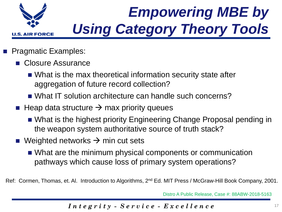

- Pragmatic Examples:
	- Closure Assurance
		- What is the max theoretical information security state after aggregation of future record collection?
		- What IT solution architecture can handle such concerns?
	- $\blacksquare$  Heap data structure  $\rightarrow$  max priority queues
		- What is the highest priority Engineering Change Proposal pending in the weapon system authoritative source of truth stack?
	- **Neighted networks**  $\rightarrow$  **min cut sets** 
		- What are the minimum physical components or communication pathways which cause loss of primary system operations?

Ref: Cormen, Thomas, et. Al. Introduction to Algorithms, 2<sup>nd</sup> Ed. MIT Press / McGraw-Hill Book Company, 2001.

Distro A Public Release, Case #: 88ABW-2018-5163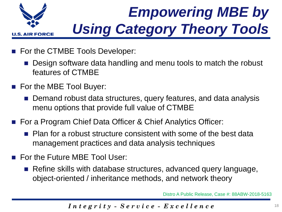

- For the CTMBE Tools Developer:
	- Design software data handling and menu tools to match the robust features of CTMBE
- For the MBE Tool Buyer:
	- Demand robust data structures, query features, and data analysis menu options that provide full value of CTMBE
- For a Program Chief Data Officer & Chief Analytics Officer:
	- Plan for a robust structure consistent with some of the best data management practices and data analysis techniques
- **For the Future MBE Tool User:** 
	- Refine skills with database structures, advanced query language, object-oriented / inheritance methods, and network theory

Distro A Public Release, Case #: 88ABW-2018-5163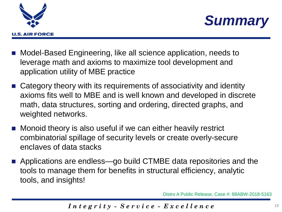



- Model-Based Engineering, like all science application, needs to leverage math and axioms to maximize tool development and application utility of MBE practice
- Category theory with its requirements of associativity and identity axioms fits well to MBE and is well known and developed in discrete math, data structures, sorting and ordering, directed graphs, and weighted networks.
- **Monoid theory is also useful if we can either heavily restrict** combinatorial spillage of security levels or create overly-secure enclaves of data stacks
- Applications are endless—go build CTMBE data repositories and the tools to manage them for benefits in structural efficiency, analytic tools, and insights!

Distro A Public Release, Case #: 88ABW-2018-5163